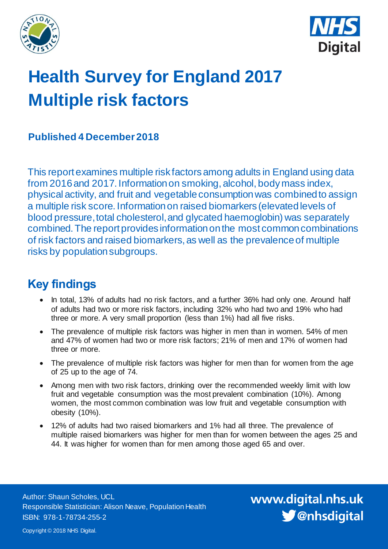



# **Health Survey for England 2017 Multiple risk factors**

### **Published 4 December 2018**

This report examines multiple risk factors among adults in England using data from 2016 and 2017. Information on smoking, alcohol, body mass index, physical activity, and fruit and vegetable consumptionwas combined to assign a multiple risk score. Information on raised biomarkers (elevated levels of blood pressure, total cholesterol, and glycated haemoglobin) was separately combined. The report provides information on the most common combinations of risk factors and raised biomarkers, as well as the prevalence of multiple risks by population subgroups.

# <span id="page-0-0"></span>**Key findings**

- In total, 13% of adults had no risk factors, and a further 36% had only one. Around half of adults had two or more risk factors, including 32% who had two and 19% who had three or more. A very small proportion (less than 1%) had all five risks.
- The prevalence of multiple risk factors was higher in men than in women. 54% of men and 47% of women had two or more risk factors; 21% of men and 17% of women had three or more.
- The prevalence of multiple risk factors was higher for men than for women from the age of 25 up to the age of 74.
- Among men with two risk factors, drinking over the recommended weekly limit with low fruit and vegetable consumption was the most prevalent combination (10%). Among women, the most common combination was low fruit and vegetable consumption with obesity (10%).
- 12% of adults had two raised biomarkers and 1% had all three. The prevalence of multiple raised biomarkers was higher for men than for women between the ages 25 and 44. It was higher for women than for men among those aged 65 and over.

Author: Shaun Scholes, UCL Responsible Statistician: Alison Neave, Population Health ISBN: 978-1-78734-255-2

www.digital.nhs.uk S @nhsdigital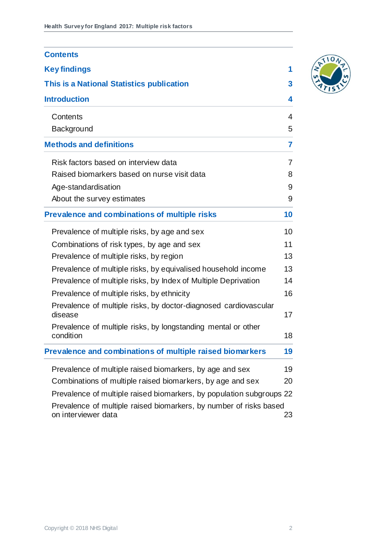| <b>Contents</b>                                                                           |    |
|-------------------------------------------------------------------------------------------|----|
| <b>Key findings</b>                                                                       | 1  |
| This is a National Statistics publication                                                 | 3  |
| <b>Introduction</b>                                                                       | 4  |
| Contents                                                                                  | 4  |
| Background                                                                                | 5  |
| <b>Methods and definitions</b>                                                            | 7  |
| Risk factors based on interview data                                                      | 7  |
| Raised biomarkers based on nurse visit data                                               | 8  |
| Age-standardisation                                                                       | 9  |
| About the survey estimates                                                                | 9  |
| Prevalence and combinations of multiple risks                                             | 10 |
| Prevalence of multiple risks, by age and sex                                              | 10 |
| Combinations of risk types, by age and sex                                                | 11 |
| Prevalence of multiple risks, by region                                                   | 13 |
| Prevalence of multiple risks, by equivalised household income                             | 13 |
| Prevalence of multiple risks, by Index of Multiple Deprivation                            | 14 |
| Prevalence of multiple risks, by ethnicity                                                | 16 |
| Prevalence of multiple risks, by doctor-diagnosed cardiovascular<br>disease               | 17 |
| Prevalence of multiple risks, by longstanding mental or other<br>condition                | 18 |
| Prevalence and combinations of multiple raised biomarkers                                 | 19 |
| Prevalence of multiple raised biomarkers, by age and sex                                  | 19 |
| Combinations of multiple raised biomarkers, by age and sex                                | 20 |
| Prevalence of multiple raised biomarkers, by population subgroups 22                      |    |
| Prevalence of multiple raised biomarkers, by number of risks based<br>on interviewer data | 23 |

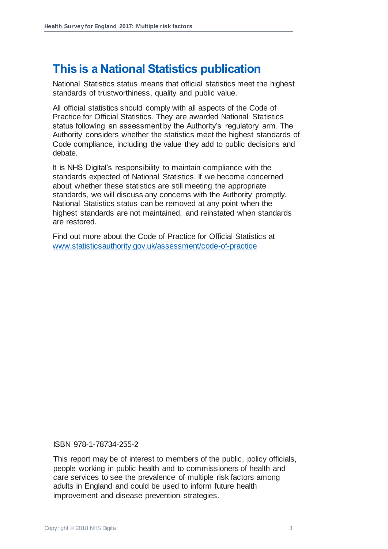### **This is a National Statistics publication**

National Statistics status means that official statistics meet the highest standards of trustworthiness, quality and public value.

All official statistics should comply with all aspects of the Code of Practice for Official Statistics. They are awarded National Statistics status following an assessment by the Authority's regulatory arm. The Authority considers whether the statistics meet the highest standards of Code compliance, including the value they add to public decisions and debate.

It is NHS Digital's responsibility to maintain compliance with the standards expected of National Statistics. If we become concerned about whether these statistics are still meeting the appropriate standards, we will discuss any concerns with the Authority promptly. National Statistics status can be removed at any point when the highest standards are not maintained, and reinstated when standards are restored.

Find out more about the Code of Practice for Official Statistics at [www.statisticsauthority.gov.uk/assessment/code-of-practice](http://www.statisticsauthority.gov.uk/assessment/code-of-practice)

ISBN 978-1-78734-255-2

This report may be of interest to members of the public, policy officials, people working in public health and to commissioners of health and care services to see the prevalence of multiple risk factors among adults in England and could be used to inform future health improvement and disease prevention strategies.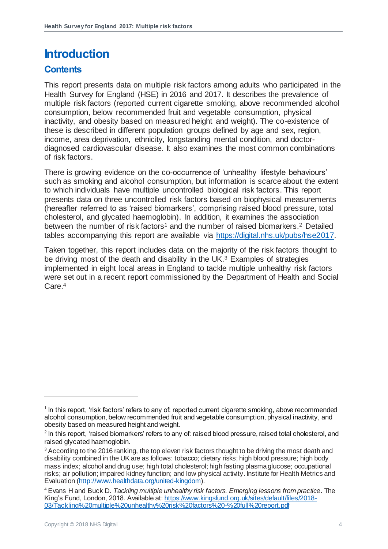# <span id="page-3-0"></span>**Introduction**

#### <span id="page-3-1"></span>**Contents**

This report presents data on multiple risk factors among adults who participated in the Health Survey for England (HSE) in 2016 and 2017. It describes the prevalence of multiple risk factors (reported current cigarette smoking, above recommended alcohol consumption, below recommended fruit and vegetable consumption, physical inactivity, and obesity based on measured height and weight). The co-existence of these is described in different population groups defined by age and sex, region, income, area deprivation, ethnicity, longstanding mental condition, and doctordiagnosed cardiovascular disease. It also examines the most common combinations of risk factors.

There is growing evidence on the co-occurrence of 'unhealthy lifestyle behaviours' such as smoking and alcohol consumption, but information is scarce about the extent to which individuals have multiple uncontrolled biological risk factors. This report presents data on three uncontrolled risk factors based on biophysical measurements (hereafter referred to as 'raised biomarkers', comprising raised blood pressure, total cholesterol, and glycated haemoglobin). In addition, it examines the association between the number of risk factors<sup>1</sup> and the number of raised biomarkers.<sup>2</sup> Detailed tables accompanying this report are available via [https://digital.nhs.uk/pubs/hse2017.](https://digital.nhs.uk/pubs/hse2017)

Taken together, this report includes data on the majority of the risk factors thought to be driving most of the death and disability in the UK.<sup>3</sup> Examples of strategies implemented in eight local areas in England to tackle multiple unhealthy risk factors were set out in a recent report commissioned by the Department of Health and Social Care.<sup>4</sup>

<sup>&</sup>lt;sup>1</sup> In this report, 'risk factors' refers to any of: reported current cigarette smoking, above recommended alcohol consumption, below recommended fruit and vegetable consumption, physical inactivity, and obesity based on measured height and weight.

 $2$  In this report, 'raised biomarkers' refers to any of: raised blood pressure, raised total cholesterol, and raised glycated haemoglobin.

<sup>&</sup>lt;sup>3</sup> According to the 2016 ranking, the top eleven risk factors thought to be driving the most death and disability combined in the UK are as follows: tobacco; dietary risks; high blood pressure; high body mass index; alcohol and drug use; high total cholesterol; high fasting plasma glucose; occupational risks; air pollution; impaired kidney function; and low physical activity. Institute for Health Metrics and Evaluation [\(http://www.healthdata.org/united-kingdom](http://www.healthdata.org/united-kingdom)).

<sup>4</sup> Evans H and Buck D. *Tackling multiple unhealthy risk factors. Emerging lessons from practice*. The King's Fund, London, 2018. Available at[: https://www.kingsfund.org.uk/sites/default/files/2018-](https://www.kingsfund.org.uk/sites/default/files/2018-03/Tackling%20multiple%20unhealthy%20risk%20factors%20-%20full%20report.pdf) [03/Tackling%20multiple%20unhealthy%20risk%20factors%20-%20full%20report.pdf](https://www.kingsfund.org.uk/sites/default/files/2018-03/Tackling%20multiple%20unhealthy%20risk%20factors%20-%20full%20report.pdf)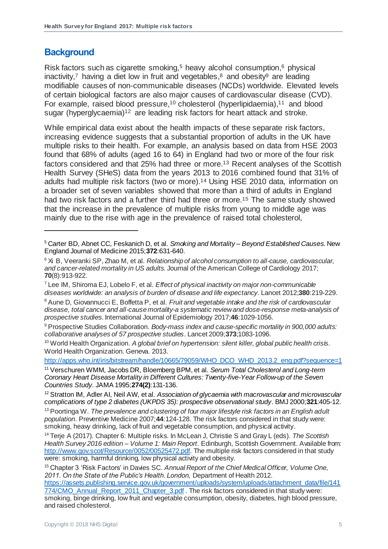#### <span id="page-4-0"></span>**Background**

<span id="page-4-2"></span><span id="page-4-1"></span>1

Risk factors such as cigarette smoking,<sup>5</sup> heavy alcohol consumption,<sup>6</sup> physical inactivity,<sup>7</sup> having a diet low in fruit and vegetables,<sup>8</sup> and obesity<sup>9</sup> are leading modifiable causes of non-communicable diseases (NCDs) worldwide. Elevated levels of certain biological factors are also major causes of cardiovascular disease (CVD). For example, raised blood pressure,<sup>10</sup> cholesterol (hyperlipidaemia),<sup>11</sup> and blood sugar (hyperglycaemia)<sup>12</sup> are leading risk factors for heart attack and stroke.

<span id="page-4-3"></span>While empirical data exist about the health impacts of these separate risk factors, increasing evidence suggests that a substantial proportion of adults in the UK have multiple risks to their health. For example, an analysis based on data from HSE 2003 found that 68% of adults (aged 16 to 64) in England had two or more of the four risk factors considered and that 25% had three or more. <sup>13</sup> Recent analyses of the Scottish Health Survey (SHeS) data from the years 2013 to 2016 combined found that 31% of adults had multiple risk factors (two or more).<sup>14</sup> Using HSE 2010 data, information on a broader set of seven variables showed that more than a third of adults in England had two risk factors and a further third had three or more.<sup>15</sup> The same study showed that the increase in the prevalence of multiple risks from young to middle age was mainly due to the rise with age in the prevalence of raised total cholesterol,

[http://apps.who.int/iris/bitstream/handle/10665/79059/WHO\\_DCO\\_WHD\\_2013.2\\_eng.pdf?sequence=1](http://apps.who.int/iris/bitstream/handle/10665/79059/WHO_DCO_WHD_2013.2_eng.pdf?sequence=1)

<sup>11</sup> Verschuren WMM, Jacobs DR, Bloemberg BPM, et al*. Serum Total Cholesterol and Long-term Coronary Heart Disease Mortality in Different Cultures: Twenty-five-Year Follow-up of the Seven Countries Study*. JAMA 1995;**274(2)**:131-136.

<sup>12</sup> Stratton IM, Adler AI, Neil AW, et al. *Association of glycaemia with macrovascular and microvascular complications of type 2 diabetes (UKPDS 35): prospective observational study*. BMJ 2000;**321**:405-12.

<sup>13</sup> Poortinga W. *The prevalence and clustering of four major lifestyle risk factors in an English adult population*. Preventive Medicine 2007;**44**:124-128. The risk factors considered in that study were: smoking, heavy drinking, lack of fruit and vegetable consumption, and physical activity.

<sup>14</sup> Terje A (2017). Chapter 6: Multiple risks. In McLean J, Christie S and Gray L (eds). *The Scottish Health Survey 2016 edition – Volume 1: Main Report*. Edinburgh, Scottish Government. Available from: [http://www.gov.scot/Resource/0052/00525472.pdf.](http://www.gov.scot/Resource/0052/00525472.pdf) The multiple risk factors considered in that study were: smoking, harmful drinking, low physical activity and obesity.

<sup>15</sup> Chapter 3 'Risk Factors' in Davies SC. *Annual Report of the Chief Medical Officer, Volume One, 2011. On the State of the Public's Health. London,* Department of Health 2012. [https://assets.publishing.service.gov.uk/government/uploads/system/uploads/attachment\\_data/file/141](https://assets.publishing.service.gov.uk/government/uploads/system/uploads/attachment_data/file/141774/CMO_Annual_Report_2011_Chapter_3.pdf) [774/CMO\\_Annual\\_Report\\_2011\\_Chapter\\_3.pdf](https://assets.publishing.service.gov.uk/government/uploads/system/uploads/attachment_data/file/141774/CMO_Annual_Report_2011_Chapter_3.pdf) . The risk factors considered in that study were: smoking, binge drinking, low fruit and vegetable consumption, obesity, diabetes, high blood pressure, and raised cholesterol.

<sup>5</sup> Carter BD, Abnet CC, Feskanich D, et al. *Smoking and Mortality – Beyond Established Causes*. New England Journal of Medicine 2015;**372**:631-640.

<sup>6</sup> Xi B, Veeranki SP, Zhao M, et al. *Relationship of alcohol consumption to all-cause, cardiovascular, and cancer-related mortality in US adults.* Journal of the American College of Cardiology 2017; **70**(8):913-922.

<sup>7</sup> Lee IM, Shiroma EJ, Lobelo F, et al. *Effect of physical inactivity on major non-communicable diseases worldwide: an analysis of burden of disease and life expectancy*. Lancet 2012;**380**:219-229.

<sup>8</sup> Aune D, Giovannucci E, Boffetta P, et al. *Fruit and vegetable intake and the risk of cardiovascular disease, total cancer and all-cause mortality-a systematic review and dose-response meta-analysis of prospective studies*. International Journal of Epidemiology 2017;**46**:1029-1056.

<sup>9</sup> Prospective Studies Collaboration. *Body-mass index and cause-specific mortality in 900,000 adults: collaborative analyses of 57 prospective studies*. Lancet 2009;**373**;1083-1096.

<sup>10</sup> World Health Organization. *A global brief on hypertension: silent killer, global public health crisis.*  World Health Organization*.* Geneva. 2013.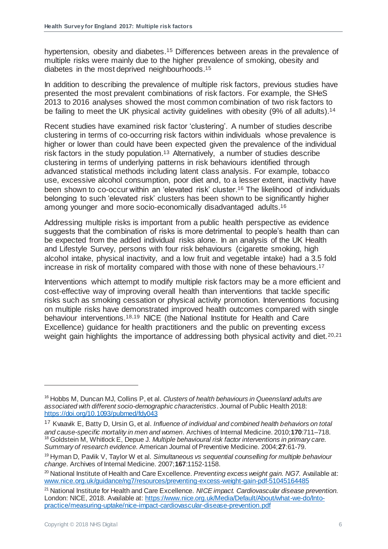hypertension, obesity and diabetes.<sup>[15](#page-4-1)</sup> Differences between areas in the prevalence of multiple risks were mainly due to the higher prevalence of smoking, obesity and diabetes in the most deprived neighbourhoods. [15](#page-4-1)

In addition to describing the prevalence of multiple risk factors, previous studies have presented the most prevalent combinations of risk factors. For example, the SHeS 2013 to 2016 analyses showed the most common combination of two risk factors to be failing to meet the UK physical activity guidelines with obesity (9% of all adults).<sup>[14](#page-4-2)</sup>

Recent studies have examined risk factor 'clustering'. A number of studies describe clustering in terms of co-occurring risk factors within individuals whose prevalence is higher or lower than could have been expected given the prevalence of the individual risk factors in the study population. [13](#page-4-3) Alternatively, a number of studies describe clustering in terms of underlying patterns in risk behaviours identified through advanced statistical methods including latent class analysis. For example, tobacco use, excessive alcohol consumption, poor diet and, to a lesser extent, inactivity have been shown to co-occur within an 'elevated risk' cluster.<sup>16</sup> The likelihood of individuals belonging to such 'elevated risk' clusters has been shown to be significantly higher among younger and more socio-economically disadvantaged adults.[16](#page-5-0)

<span id="page-5-0"></span>Addressing multiple risks is important from a public health perspective as evidence suggests that the combination of risks is more detrimental to people's health than can be expected from the added individual risks alone. In an analysis of the UK Health and Lifestyle Survey, persons with four risk behaviours (cigarette smoking, high alcohol intake, physical inactivity, and a low fruit and vegetable intake) had a 3.5 fold increase in risk of mortality compared with those with none of these behaviours.<sup>17</sup>

Interventions which attempt to modify multiple risk factors may be a more efficient and cost-effective way of improving overall health than interventions that tackle specific risks such as smoking cessation or physical activity promotion. Interventions focusing on multiple risks have demonstrated improved health outcomes compared with single behaviour interventions.18,19 NICE (the National Institute for Health and Care Excellence) guidance for health practitioners and the public on preventing excess weight gain highlights the importance of addressing both physical activity and diet.<sup>20,21</sup>

<sup>16</sup> Hobbs M, Duncan MJ, Collins P, et al. *Clusters of health behaviours in Queensland adults are associated with different socio-demographic characteristics*. Journal of Public Health 2018: <https://doi.org/10.1093/pubmed/fdy043>

<sup>17</sup> Kvaavik E, Batty D, Ursin G, et al. *Influence of individual and combined health behaviors on total and cause-specific mortality in men and women*. Archives of Internal Medicine. 2010;**170**:711–718. <sup>18</sup> Goldstein M, Whitlock E, Depue J. *Multiple behavioural risk factor interventions in primary care. Summary of research evidence.* American Journal of Preventive Medicine. 2004;**27**:61-79.

<sup>19</sup> Hyman D, Pavlik V, Taylor W et al. *Simultaneous vs sequential counselling for multiple behaviour change*. Archives of Internal Medicine. 2007;**167**:1152-1158.

<sup>20</sup> National Institute of Health and Care Excellence*. Preventing excess weight gain. NG7.* Available at: [www.nice.org.uk/guidance/ng7/resources/preventing-excess-weight-gain-pdf-51045164485](http://www.nice.org.uk/guidance/ng7/resources/preventing-excess-weight-gain-pdf-51045164485)

<sup>21</sup> National Institute for Health and Care Excellence. *NICE impact. Cardiovascular disease prevention.* London: NICE, 2018. Available at[: https://www.nice.org.uk/Media/Default/About/what-we-do/Into](https://www.nice.org.uk/Media/Default/About/what-we-do/Into-practice/measuring-uptake/nice-impact-cardiovascular-disease-prevention.pdf)[practice/measuring-uptake/nice-impact-cardiovascular-disease-prevention.pdf](https://www.nice.org.uk/Media/Default/About/what-we-do/Into-practice/measuring-uptake/nice-impact-cardiovascular-disease-prevention.pdf)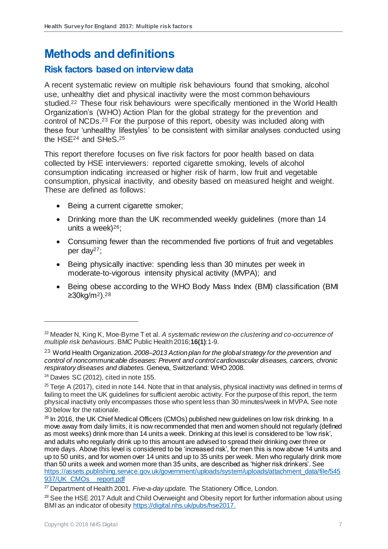# <span id="page-6-0"></span>**Methods and definitions**

#### <span id="page-6-1"></span>**Risk factors based on interview data**

A recent systematic review on multiple risk behaviours found that smoking, alcohol use, unhealthy diet and physical inactivity were the most common behaviours studied.<sup>22</sup> These four risk behaviours were specifically mentioned in the World Health Organization's (WHO) Action Plan for the global strategy for the prevention and control of NCDs.<sup>23</sup> For the purpose of this report, obesity was included along with these four 'unhealthy lifestyles' to be consistent with similar analyses conducted using the HSE<sup>24</sup> and SHeS.<sup>25</sup>

This report therefore focuses on five risk factors for poor health based on data collected by HSE interviewers: reported cigarette smoking, levels of alcohol consumption indicating increased or higher risk of harm, low fruit and vegetable consumption, physical inactivity, and obesity based on measured height and weight. These are defined as follows:

- Being a current cigarette smoker;
- Drinking more than the UK recommended weekly guidelines (more than 14 units a week)<sup>26</sup>;
- Consuming fewer than the recommended five portions of fruit and vegetables per day27;
- Being physically inactive: spending less than 30 minutes per week in moderate-to-vigorous intensity physical activity (MVPA); and
- Being obese according to the WHO Body Mass Index (BMI) classification (BMI  $≥30kg/m²$ ).<sup>28</sup>

<sup>22</sup> Meader N, King K, Moe-Byrne T et al. *A systematic review on the clustering and co-occurrence of multiple risk behaviours*. BMC Public Health 2016;**16(1)**:1-9.

<sup>23</sup> World Health Organization. *2008–2013 Action plan for the global strategy for the prevention and control of noncommunicable diseases: Prevent and control cardiovascular diseases, cancers, chronic respiratory diseases and diabetes.* Geneva, Switzerland: WHO 2008.

 $24$  Davies SC (2012), cited in note [155](#page-4-1).

 $25$  Terje A (2017), cited in not[e 144](#page-4-2). Note that in that analysis, physical inactivity was defined in terms of failing to meet the UK guidelines for sufficient aerobic activity. For the purpose of this report, the term physical inactivity only encompasses those who spent less than 30 minutes/week in MVPA. See note [30](#page-7-1) below for the rationale.

<sup>&</sup>lt;sup>26</sup> In 2016, the UK Chief Medical Officers (CMOs) published new guidelines on low risk drinking. In a move away from daily limits, it is now recommended that men and women should not regularly (defined as most weeks) drink more than 14 units a week. Drinking at this level is considered to be 'low risk', and adults who regularly drink up to this amount are advised to spread their drinking over three or more days. Above this level is considered to be 'increased risk', for men this is now above 14 units and up to 50 units, and for women over 14 units and up to 35 units per week. Men who regularly drink more than 50 units a week and women more than 35 units, are described as 'higher risk drinkers'. See [https://assets.publishing.service.gov.uk/government/uploads/system/uploads/attachment\\_data/file/545](https://assets.publishing.service.gov.uk/government/uploads/system/uploads/attachment_data/file/545937/UK_CMOs__report.pdf) 937/UK\_CMOs\_report.pdf

<sup>27</sup> Department of Health 2001. *Five-a-day update.* The Stationery Office, London.

<sup>&</sup>lt;sup>28</sup> See the HSE 2017 Adult and Child Overweight and Obesity report for further information about using BMI as an indicator of obesit[y https://digital.nhs.uk/pubs/hse2017](https://digital.nhs.uk/pubs/hse2017).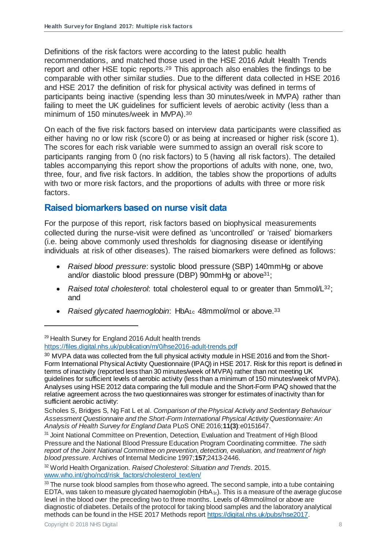Definitions of the risk factors were according to the latest public health recommendations, and matched those used in the HSE 2016 Adult Health Trends report and other HSE topic reports. <sup>29</sup> This approach also enables the findings to be comparable with other similar studies. Due to the different data collected in HSE 2016 and HSE 2017 the definition of risk for physical activity was defined in terms of participants being inactive (spending less than 30 minutes/week in MVPA) rather than failing to meet the UK guidelines for sufficient levels of aerobic activity (less than a minimum of 150 minutes/week in MVPA).<sup>30</sup>

<span id="page-7-1"></span>On each of the five risk factors based on interview data participants were classified as either having no or low risk (score 0) or as being at increased or higher risk (score 1). The scores for each risk variable were summed to assign an overall risk score to participants ranging from 0 (no risk factors) to 5 (having all risk factors). The detailed tables accompanying this report show the proportions of adults with none, one, two, three, four, and five risk factors. In addition, the tables show the proportions of adults with two or more risk factors, and the proportions of adults with three or more risk factors.

#### <span id="page-7-0"></span>**Raised biomarkers based on nurse visit data**

For the purpose of this report, risk factors based on biophysical measurements collected during the nurse-visit were defined as 'uncontrolled' or 'raised' biomarkers (i.e. being above commonly used thresholds for diagnosing disease or identifying individuals at risk of other diseases). The raised biomarkers were defined as follows:

- *Raised blood pressure*: systolic blood pressure (SBP) 140mmHg or above and/or diastolic blood pressure (DBP) 90mmHg or above31;
- *Raised total cholesterol*: total cholesterol equal to or greater than 5mmol/L32; and
- *Raised glycated haemoglobin*: HbA<sub>1c</sub> 48mmol/mol or above.<sup>33</sup>

<sup>&</sup>lt;sup>29</sup> Health Survey for England 2016 Adult health trends

<https://files.digital.nhs.uk/publication/m/0/hse2016-adult-trends.pdf>

<sup>&</sup>lt;sup>30</sup> MVPA data was collected from the full physical activity module in HSE 2016 and from the Short-Form International Physical Activity Questionnaire (IPAQ) in HSE 2017. Risk for this report is defined in terms of inactivity (reported less than 30 minutes/week of MVPA) rather than not meeting UK guidelines for sufficient levels of aerobic activity (less than a minimum of 150 minutes/week of MVPA). Analyses using HSE 2012 data comparing the full module and the Short-Form IPAQ showed that the relative agreement across the two questionnaires was stronger for estimates of inactivity than for sufficient aerobic activity:

Scholes S, Bridges S, Ng Fat L et al. *Comparison of the Physical Activity and Sedentary Behaviour Assessment Questionnaire and the Short-Form International Physical Activity Questionnaire: An Analysis of Health Survey for England Data* PLoS ONE 2016;**11(3)**:e0151647.

<sup>&</sup>lt;sup>31</sup> Joint National Committee on Prevention, Detection, Evaluation and Treatment of High Blood Pressure and the National Blood Pressure Education Program Coordinating committee. *The sixth report of the Joint National Committee on prevention, detection, evaluation, and treatment of high blood pressure*. Archives of Internal Medicine 1997;**157**;2413-2446.

<sup>32</sup> World Health Organization. *Raised Cholesterol: Situation and Trends.* 2015. [www.who.int/gho/ncd/risk\\_factors/cholesterol\\_text/en/](file://///ad.ucl.ac.uk/GroupFolders/FPHS_EPH_HSE_Shared/2%20HSE%202016-19/HSE%202017/Report/Multiple%20risk%20factors/www.who.int/gho/ncd/risk_factors/cholesterol_text/en/)

 $33$  The nurse took blood samples from those who agreed. The second sample, into a tube containing EDTA, was taken to measure glycated haemoglobin (HbA<sub>1c</sub>). This is a measure of the average glucose level in the blood over the preceding two to three months. Levels of 48mmol/mol or above are diagnostic of diabetes. Details of the protocol for taking blood samples and the laboratory analytical methods can be found in the HSE 2017 Methods repor[t https://digital.nhs.uk/pubs/hse2017](https://digital.nhs.uk/pubs/hse2017).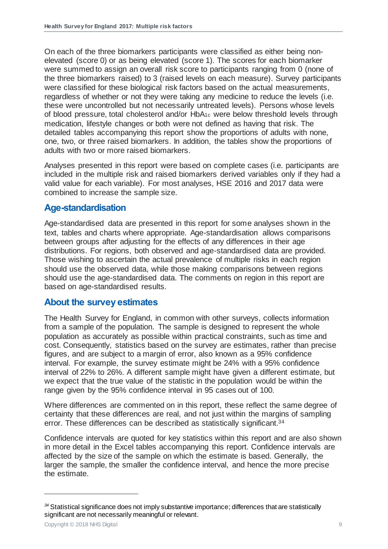On each of the three biomarkers participants were classified as either being nonelevated (score 0) or as being elevated (score 1). The scores for each biomarker were summed to assign an overall risk score to participants ranging from 0 (none of the three biomarkers raised) to 3 (raised levels on each measure). Survey participants were classified for these biological risk factors based on the actual measurements, regardless of whether or not they were taking any medicine to reduce the levels (i.e. these were uncontrolled but not necessarily untreated levels). Persons whose levels of blood pressure, total cholesterol and/or HbA1c were below threshold levels through medication, lifestyle changes or both were not defined as having that risk. The detailed tables accompanying this report show the proportions of adults with none, one, two, or three raised biomarkers. In addition, the tables show the proportions of adults with two or more raised biomarkers.

Analyses presented in this report were based on complete cases (i.e. participants are included in the multiple risk and raised biomarkers derived variables only if they had a valid value for each variable). For most analyses, HSE 2016 and 2017 data were combined to increase the sample size.

#### <span id="page-8-0"></span>**Age-standardisation**

Age-standardised data are presented in this report for some analyses shown in the text, tables and charts where appropriate. Age-standardisation allows comparisons between groups after adjusting for the effects of any differences in their age distributions. For regions, both observed and age-standardised data are provided. Those wishing to ascertain the actual prevalence of multiple risks in each region should use the observed data, while those making comparisons between regions should use the age-standardised data. The comments on region in this report are based on age-standardised results.

#### <span id="page-8-1"></span>**About the survey estimates**

The Health Survey for England, in common with other surveys, collects information from a sample of the population. The sample is designed to represent the whole population as accurately as possible within practical constraints, such as time and cost. Consequently, statistics based on the survey are estimates, rather than precise figures, and are subject to a margin of error, also known as a 95% confidence interval. For example, the survey estimate might be 24% with a 95% confidence interval of 22% to 26%. A different sample might have given a different estimate, but we expect that the true value of the statistic in the population would be within the range given by the 95% confidence interval in 95 cases out of 100.

Where differences are commented on in this report, these reflect the same degree of certainty that these differences are real, and not just within the margins of sampling error. These differences can be described as statistically significant. 34

Confidence intervals are quoted for key statistics within this report and are also shown in more detail in the Excel tables accompanying this report. Confidence intervals are affected by the size of the sample on which the estimate is based. Generally, the larger the sample, the smaller the confidence interval, and hence the more precise the estimate.

*<sup>34</sup>* Statistical significance does not imply substantive importance; differences that are statistically significant are not necessarily meaningful or relevant.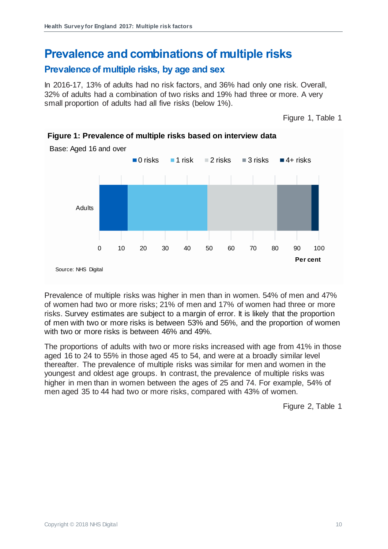# <span id="page-9-0"></span>**Prevalence and combinations of multiple risks**

#### <span id="page-9-1"></span>**Prevalence of multiple risks, by age and sex**

In 2016-17, 13% of adults had no risk factors, and 36% had only one risk. Overall, 32% of adults had a combination of two risks and 19% had three or more. A very small proportion of adults had all five risks (below 1%).

Figure 1, Table 1



**Figure 1: Prevalence of multiple risks based on interview data**

Prevalence of multiple risks was higher in men than in women. 54% of men and 47% of women had two or more risks; 21% of men and 17% of women had three or more risks. Survey estimates are subject to a margin of error. It is likely that the proportion of men with two or more risks is between 53% and 56%, and the proportion of women with two or more risks is between 46% and 49%.

The proportions of adults with two or more risks increased with age from 41% in those aged 16 to 24 to 55% in those aged 45 to 54, and were at a broadly similar level thereafter. The prevalence of multiple risks was similar for men and women in the youngest and oldest age groups. In contrast, the prevalence of multiple risks was higher in men than in women between the ages of 25 and 74. For example, 54% of men aged 35 to 44 had two or more risks, compared with 43% of women.

Figure 2, Table 1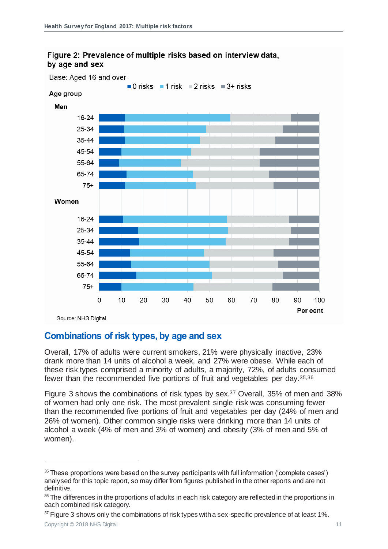

#### Figure 2: Prevalence of multiple risks based on interview data. by age and sex

#### <span id="page-10-0"></span>**Combinations of risk types, by age and sex**

Overall, 17% of adults were current smokers, 21% were physically inactive, 23% drank more than 14 units of alcohol a week, and 27% were obese. While each of these risk types comprised a minority of adults, a majority, 72%, of adults consumed fewer than the recommended five portions of fruit and vegetables per day. 35,36

Figure 3 shows the combinations of risk types by sex. <sup>37</sup> Overall, 35% of men and 38% of women had only one risk. The most prevalent single risk was consuming fewer than the recommended five portions of fruit and vegetables per day (24% of men and 26% of women). Other common single risks were drinking more than 14 units of alcohol a week (4% of men and 3% of women) and obesity (3% of men and 5% of women).

 $37$  Figure 3 shows only the combinations of risk types with a sex-specific prevalence of at least 1%.

 $35$  These proportions were based on the survey participants with full information ('complete cases') analysed for this topic report, so may differ from figures published in the other reports and are not definitive.

<sup>36</sup> The differences in the proportions of adults in each risk category are reflected in the proportions in each combined risk category.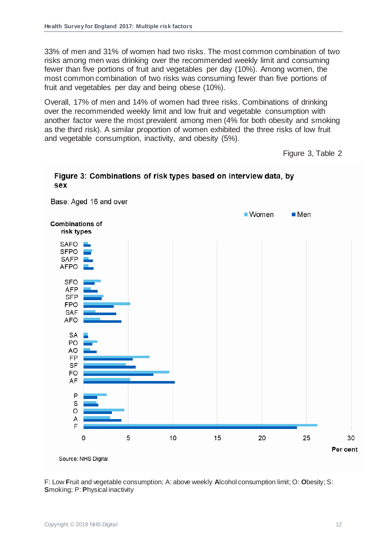33% of men and 31% of women had two risks. The most common combination of two risks among men was drinking over the recommended weekly limit and consuming fewer than five portions of fruit and vegetables per day (10%). Among women, the most common combination of two risks was consuming fewer than five portions of fruit and vegetables per day and being obese (10%).

Overall, 17% of men and 14% of women had three risks. Combinations of drinking over the recommended weekly limit and low fruit and vegetable consumption with another factor were the most prevalent among men (4% for both obesity and smoking as the third risk). A similar proportion of women exhibited the three risks of low fruit and vegetable consumption, inactivity, and obesity (5%).

Figure 3, Table 2



F: Low **F**ruit and vegetable consumption; A: above weekly **A**lcohol consumption limit; O: **O**besity; S: **S**moking; P: **P**hysical inactivity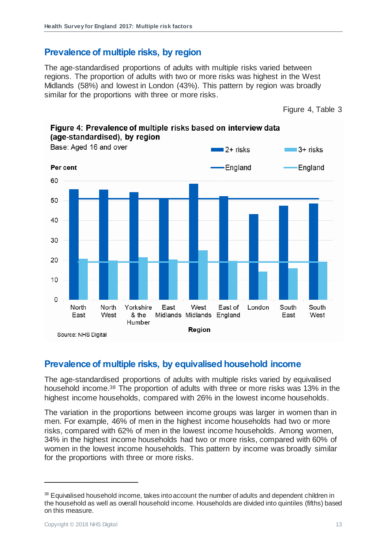#### <span id="page-12-0"></span>**Prevalence of multiple risks, by region**

The age-standardised proportions of adults with multiple risks varied between regions. The proportion of adults with two or more risks was highest in the West Midlands (58%) and lowest in London (43%). This pattern by region was broadly similar for the proportions with three or more risks.



#### <span id="page-12-1"></span>**Prevalence of multiple risks, by equivalised household income**

The age-standardised proportions of adults with multiple risks varied by equivalised household income. <sup>38</sup> The proportion of adults with three or more risks was 13% in the highest income households, compared with 26% in the lowest income households.

The variation in the proportions between income groups was larger in women than in men. For example, 46% of men in the highest income households had two or more risks, compared with 62% of men in the lowest income households. Among women, 34% in the highest income households had two or more risks, compared with 60% of women in the lowest income households. This pattern by income was broadly similar for the proportions with three or more risks.

<sup>&</sup>lt;sup>38</sup> Equivalised household income, takes into account the number of adults and dependent children in the household as well as overall household income. Households are divided into quintiles (fifths) based on this measure.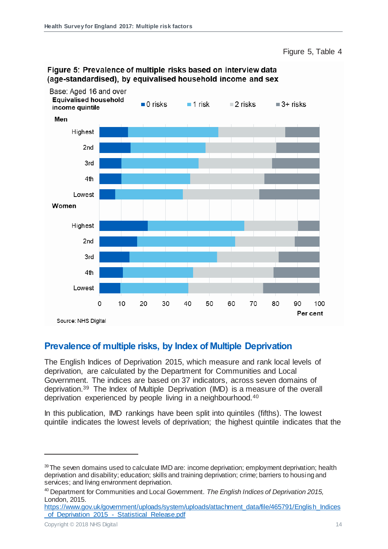Figure 5, Table 4



#### Figure 5: Prevalence of multiple risks based on interview data (age-standardised), by equivalised household income and sex

#### <span id="page-13-0"></span>**Prevalence of multiple risks, by Index of Multiple Deprivation**

The English Indices of Deprivation 2015, which measure and rank local levels of deprivation, are calculated by the Department for Communities and Local Government. The indices are based on 37 indicators, across seven domains of deprivation.<sup>39</sup> The Index of Multiple Deprivation (IMD) is a measure of the overall deprivation experienced by people living in a neighbourhood.<sup>40</sup>

In this publication, IMD rankings have been split into quintiles (fifths). The lowest quintile indicates the lowest levels of deprivation; the highest quintile indicates that the

L

<sup>39</sup> The seven domains used to calculate IMD are: income deprivation; employment deprivation; health deprivation and disability; education; skills and training deprivation; crime; barriers to housing and services; and living environment deprivation.

<sup>40</sup> Department for Communities and Local Government. *The English Indices of Deprivation 2015,* London, 2015.

[https://www.gov.uk/government/uploads/system/uploads/attachment\\_data/file/465791/English\\_Indices](https://www.gov.uk/government/uploads/system/uploads/attachment_data/file/465791/English_Indices_of_Deprivation_2015_-_Statistical_Release.pdf) of Deprivation 2015 - Statistical Release.pdf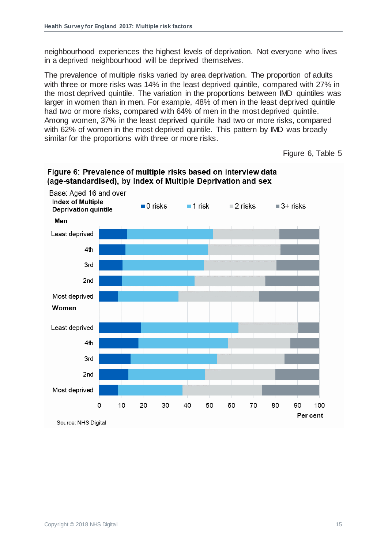neighbourhood experiences the highest levels of deprivation. Not everyone who lives in a deprived neighbourhood will be deprived themselves.

The prevalence of multiple risks varied by area deprivation. The proportion of adults with three or more risks was 14% in the least deprived quintile, compared with 27% in the most deprived quintile. The variation in the proportions between IMD quintiles was larger in women than in men. For example, 48% of men in the least deprived quintile had two or more risks, compared with 64% of men in the most deprived quintile. Among women, 37% in the least deprived quintile had two or more risks, compared with 62% of women in the most deprived quintile. This pattern by IMD was broadly similar for the proportions with three or more risks.

Figure 6, Table 5



#### Figure 6: Prevalence of multiple risks based on interview data (age-standardised), by Index of Multiple Deprivation and sex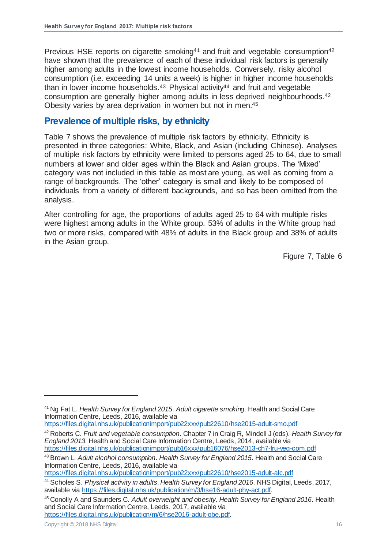Previous HSE reports on cigarette smoking<sup>41</sup> and fruit and vegetable consumption<sup>42</sup> have shown that the prevalence of each of these individual risk factors is generally higher among adults in the lowest income households. Conversely, risky alcohol consumption (i.e. exceeding 14 units a week) is higher in higher income households than in lower income households.<sup>43</sup> Physical activity<sup>44</sup> and fruit and vegetable consumption are generally higher among adults in less deprived neighbourhoods. [42](#page-15-1) Obesity varies by area deprivation in women but not in men.<sup>45</sup>

#### <span id="page-15-0"></span>**Prevalence of multiple risks, by ethnicity**

Table 7 shows the prevalence of multiple risk factors by ethnicity. Ethnicity is presented in three categories: White, Black, and Asian (including Chinese). Analyses of multiple risk factors by ethnicity were limited to persons aged 25 to 64, due to small numbers at lower and older ages within the Black and Asian groups. The 'Mixed' category was not included in this table as most are young, as well as coming from a range of backgrounds. The 'other' category is small and likely to be composed of individuals from a variety of different backgrounds, and so has been omitted from the analysis.

After controlling for age, the proportions of adults aged 25 to 64 with multiple risks were highest among adults in the White group. 53% of adults in the White group had two or more risks, compared with 48% of adults in the Black group and 38% of adults in the Asian group.

<span id="page-15-1"></span>Figure 7, Table 6

<https://files.digital.nhs.uk/publicationimport/pub22xxx/pub22610/hse2015-adult-smo.pdf>

<sup>42</sup> Roberts C. *Fruit and vegetable consumption*. Chapter 7 in Craig R, Mindell J (eds). *Health Survey for England 2013*. Health and Social Care Information Centre, Leeds, 2014, available via <https://files.digital.nhs.uk/publicationimport/pub16xxx/pub16076/hse2013-ch7-fru-veg-com.pdf>

<https://files.digital.nhs.uk/publicationimport/pub22xxx/pub22610/hse2015-adult-alc.pdf>

L

<sup>41</sup> Ng Fat L. *Health Survey for England 2015*. *Adult cigarette smoking*. Health and Social Care Information Centre, Leeds, 2016, available via

<sup>43</sup> Brown L. *Adult alcohol consumption*. *Health Survey for England 2015*. Health and Social Care Information Centre, Leeds, 2016, available via

<sup>44</sup> Scholes S. *Physical activity in adults*. *Health Survey for England 2016*. NHS Digital, Leeds, 2017, available via [https://files.digital.nhs.uk/publication/m/3/hse16-adult-phy-act.pdf.](https://files.digital.nhs.uk/publication/m/3/hse16-adult-phy-act.pdf)

<sup>45</sup> Conolly A and Saunders C. *Adult overweight and obesity*. *Health Survey for England 2016*. Health and Social Care Information Centre, Leeds, 2017, available via <https://files.digital.nhs.uk/publication/m/6/hse2016-adult-obe.pdf>.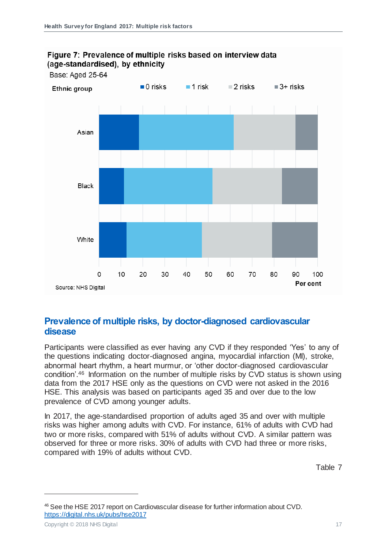

#### Figure 7: Prevalence of multiple risks based on interview data (age-standardised), by ethnicity

#### <span id="page-16-0"></span>**Prevalence of multiple risks, by doctor-diagnosed cardiovascular disease**

Participants were classified as ever having any CVD if they responded 'Yes' to any of the questions indicating doctor-diagnosed angina, myocardial infarction (MI), stroke, abnormal heart rhythm, a heart murmur, or 'other doctor-diagnosed cardiovascular condition'.<sup>46</sup> Information on the number of multiple risks by CVD status is shown using data from the 2017 HSE only as the questions on CVD were not asked in the 2016 HSE. This analysis was based on participants aged 35 and over due to the low prevalence of CVD among younger adults.

In 2017, the age-standardised proportion of adults aged 35 and over with multiple risks was higher among adults with CVD. For instance, 61% of adults with CVD had two or more risks, compared with 51% of adults without CVD. A similar pattern was observed for three or more risks. 30% of adults with CVD had three or more risks, compared with 19% of adults without CVD.

Table 7

<sup>46</sup> See the HSE 2017 report on Cardiovascular disease for further information about CVD. <https://digital.nhs.uk/pubs/hse2017>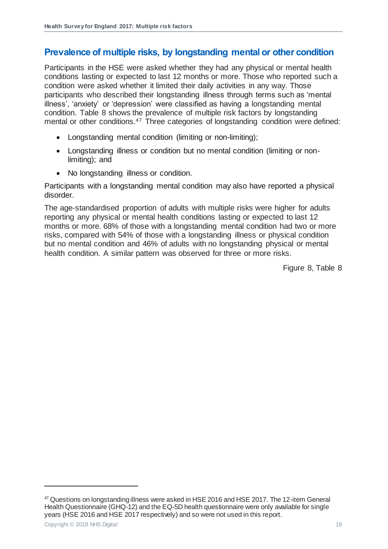#### <span id="page-17-0"></span>**Prevalence of multiple risks, by longstanding mental or other condition**

Participants in the HSE were asked whether they had any physical or mental health conditions lasting or expected to last 12 months or more. Those who reported such a condition were asked whether it limited their daily activities in any way. Those participants who described their longstanding illness through terms such as 'mental illness', 'anxiety' or 'depression' were classified as having a longstanding mental condition. Table 8 shows the prevalence of multiple risk factors by longstanding mental or other conditions.<sup>47</sup> Three categories of longstanding condition were defined:

- Longstanding mental condition (limiting or non-limiting);
- Longstanding illness or condition but no mental condition (limiting or nonlimiting); and
- No longstanding illness or condition.

Participants with a longstanding mental condition may also have reported a physical disorder.

The age-standardised proportion of adults with multiple risks were higher for adults reporting any physical or mental health conditions lasting or expected to last 12 months or more. 68% of those with a longstanding mental condition had two or more risks, compared with 54% of those with a longstanding illness or physical condition but no mental condition and 46% of adults with no longstanding physical or mental health condition. A similar pattern was observed for three or more risks.

Figure 8, Table 8

<sup>&</sup>lt;sup>47</sup> Questions on longstanding illness were asked in HSE 2016 and HSE 2017. The 12-item General Health Questionnaire (GHQ-12) and the EQ-5D health questionnaire were only available for single years (HSE 2016 and HSE 2017 respectively) and so were not used in this report.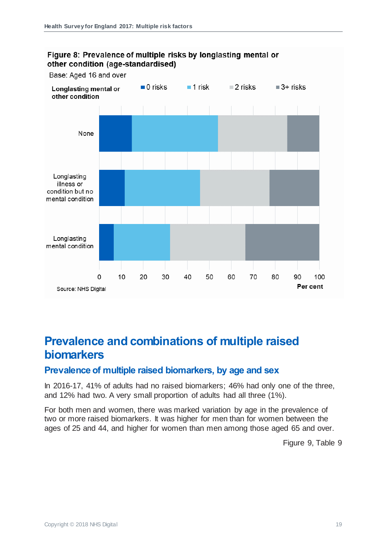

#### Figure 8: Prevalence of multiple risks by longlasting mental or other condition (age-standardised)

## <span id="page-18-0"></span>**Prevalence and combinations of multiple raised biomarkers**

#### <span id="page-18-1"></span>**Prevalence of multiple raised biomarkers, by age and sex**

In 2016-17, 41% of adults had no raised biomarkers; 46% had only one of the three, and 12% had two. A very small proportion of adults had all three (1%).

For both men and women, there was marked variation by age in the prevalence of two or more raised biomarkers. It was higher for men than for women between the ages of 25 and 44, and higher for women than men among those aged 65 and over.

Figure 9, Table 9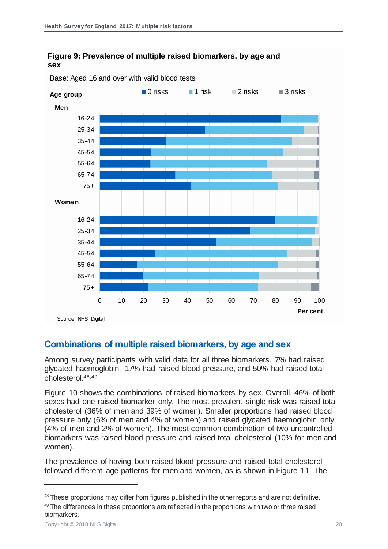#### **Figure 9: Prevalence of multiple raised biomarkers, by age and sex**



Base: Aged 16 and over with valid blood tests

#### <span id="page-19-0"></span>**Combinations of multiple raised biomarkers, by age and sex**

Among survey participants with valid data for all three biomarkers, 7% had raised glycated haemoglobin, 17% had raised blood pressure, and 50% had raised total cholesterol.48,49

Figure 10 shows the combinations of raised biomarkers by sex. Overall, 46% of both sexes had one raised biomarker only. The most prevalent single risk was raised total cholesterol (36% of men and 39% of women). Smaller proportions had raised blood pressure only (6% of men and 4% of women) and raised glycated haemoglobin only (4% of men and 2% of women). The most common combination of two uncontrolled biomarkers was raised blood pressure and raised total cholesterol (10% for men and women).

The prevalence of having both raised blood pressure and raised total cholesterol followed different age patterns for men and women, as is shown in Figure 11. The

L

<sup>&</sup>lt;sup>48</sup> These proportions may differ from figures published in the other reports and are not definitive. <sup>49</sup> The differences in these proportions are reflected in the proportions with two or three raised biomarkers.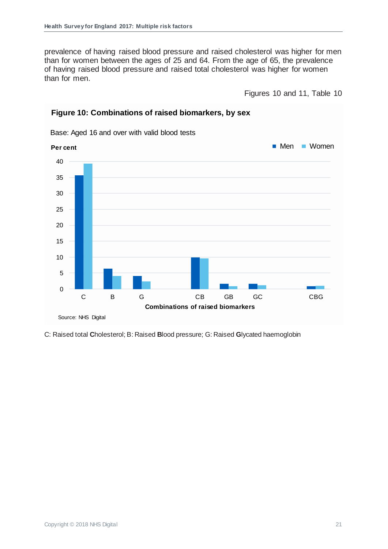prevalence of having raised blood pressure and raised cholesterol was higher for men than for women between the ages of 25 and 64. From the age of 65, the prevalence of having raised blood pressure and raised total cholesterol was higher for women than for men.

Figures 10 and 11, Table 10



#### **Figure 10: Combinations of raised biomarkers, by sex**

C: Raised total **C**holesterol; B: Raised **B**lood pressure; G: Raised **G**lycated haemoglobin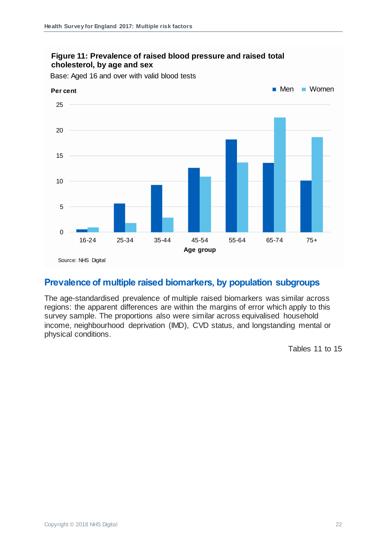

#### **Figure 11: Prevalence of raised blood pressure and raised total cholesterol, by age and sex**

#### <span id="page-21-0"></span>**Prevalence of multiple raised biomarkers, by population subgroups**

The age-standardised prevalence of multiple raised biomarkers was similar across regions: the apparent differences are within the margins of error which apply to this survey sample. The proportions also were similar across equivalised household income, neighbourhood deprivation (IMD), CVD status, and longstanding mental or physical conditions.

Tables 11 to 15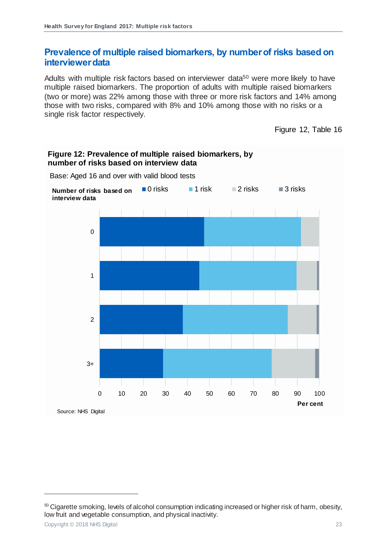#### <span id="page-22-0"></span>**Prevalence of multiple raised biomarkers, by number of risks based on interviewer data**

Adults with multiple risk factors based on interviewer data<sup>50</sup> were more likely to have multiple raised biomarkers. The proportion of adults with multiple raised biomarkers (two or more) was 22% among those with three or more risk factors and 14% among those with two risks, compared with 8% and 10% among those with no risks or a single risk factor respectively.

Figure 12, Table 16



<sup>50</sup> Cigarette smoking, levels of alcohol consumption indicating increased or higher risk of harm, obesity, low fruit and vegetable consumption, and physical inactivity.